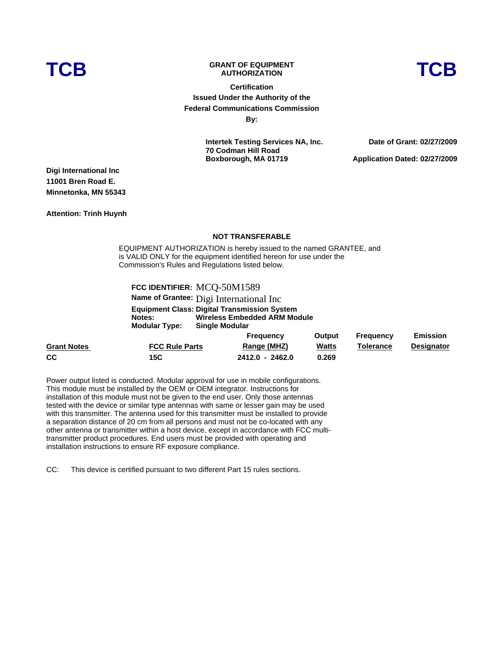# **TCB GRANT OF EQUIPMENT AUTHORIZATION TCB**



**Certification Issued Under the Authority of the Federal Communications Commission By:**

> **Intertek Testing Services NA, Inc. 70 Codman Hill Road Boxborough, MA 01719**

**Date of Grant: 02/27/2009 Application Dated: 02/27/2009**

**Digi International Inc 11001 Bren Road E. Minnetonka, MN 55343** 

**Attention: Trinh Huynh** 

#### **NOT TRANSFERABLE**

EQUIPMENT AUTHORIZATION is hereby issued to the named GRANTEE, and is VALID ONLY for the equipment identified hereon for use under the Commission's Rules and Regulations listed below.

### **FCC IDENTIFIER:** MCQ-50M1589

**Name of Grantee:** Digi International Inc

**Equipment Class: Digital Transmission System Notes: Wireless Embedded ARM Module Single Modular** 

|                    |                       | <b>Frequency</b> | Output       | Frequency | <b>Emission</b>   |
|--------------------|-----------------------|------------------|--------------|-----------|-------------------|
| <b>Grant Notes</b> | <b>FCC Rule Parts</b> | Range (MHZ)      | <b>Watts</b> | Tolerance | <b>Designator</b> |
| <b>CC</b>          | 15C                   | 2412.0 - 2462.0  | 0.269        |           |                   |

Power output listed is conducted. Modular approval for use in mobile configurations. This module must be installed by the OEM or OEM integrator. Instructions for installation of this module must not be given to the end user. Only those antennas tested with the device or similar type antennas with same or lesser gain may be used with this transmitter. The antenna used for this transmitter must be installed to provide a separation distance of 20 cm from all persons and must not be co-located with any other antenna or transmitter within a host device, except in accordance with FCC multitransmitter product procedures. End users must be provided with operating and installation instructions to ensure RF exposure compliance.

CC: This device is certified pursuant to two different Part 15 rules sections.